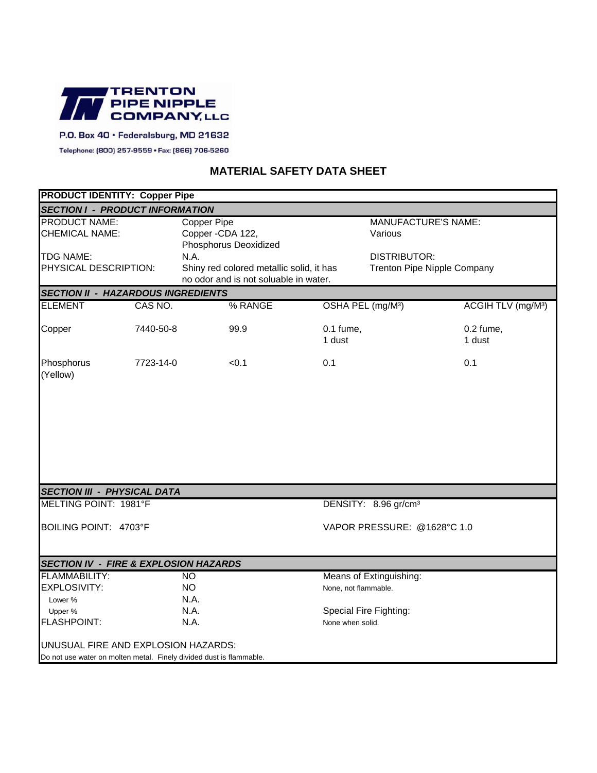

## P.O. Box 40 · Federalsburg, MD 21632

Telephone: (800) 257-9559 • Fax: (866) 706-5260

## **MATERIAL SAFETY DATA SHEET**

| <b>PRODUCT IDENTITY: Copper Pipe</b>             |           |                                                                                           |                         |                                                           |                                |  |  |
|--------------------------------------------------|-----------|-------------------------------------------------------------------------------------------|-------------------------|-----------------------------------------------------------|--------------------------------|--|--|
| <b>SECTION I - PRODUCT INFORMATION</b>           |           |                                                                                           |                         |                                                           |                                |  |  |
| <b>PRODUCT NAME:</b><br><b>CHEMICAL NAME:</b>    |           | <b>Copper Pipe</b><br>Copper - CDA 122,<br>Phosphorus Deoxidized                          |                         | <b>MANUFACTURE'S NAME:</b><br>Various                     |                                |  |  |
| <b>TDG NAME:</b><br>PHYSICAL DESCRIPTION:        |           | N.A.<br>Shiny red colored metallic solid, it has<br>no odor and is not soluable in water. |                         | <b>DISTRIBUTOR:</b><br><b>Trenton Pipe Nipple Company</b> |                                |  |  |
| <b>SECTION II - HAZARDOUS INGREDIENTS</b>        |           |                                                                                           |                         |                                                           |                                |  |  |
| <b>ELEMENT</b>                                   | CAS NO.   | % RANGE                                                                                   |                         | OSHA PEL (mg/M <sup>3</sup> )                             | ACGIH TLV (mg/M <sup>3</sup> ) |  |  |
| Copper                                           | 7440-50-8 | 99.9                                                                                      | $0.1$ fume,<br>1 dust   |                                                           | $0.2$ fume,<br>1 dust          |  |  |
| Phosphorus<br>(Yellow)                           | 7723-14-0 | < 0.1                                                                                     | 0.1                     |                                                           | 0.1                            |  |  |
|                                                  |           |                                                                                           |                         |                                                           |                                |  |  |
| <b>SECTION III - PHYSICAL DATA</b>               |           |                                                                                           |                         |                                                           |                                |  |  |
| MELTING POINT: 1981°F                            |           |                                                                                           |                         | DENSITY: 8.96 gr/cm <sup>3</sup>                          |                                |  |  |
| BOILING POINT: 4703°F                            |           |                                                                                           |                         | VAPOR PRESSURE: @1628°C 1.0                               |                                |  |  |
| <b>SECTION IV - FIRE &amp; EXPLOSION HAZARDS</b> |           |                                                                                           |                         |                                                           |                                |  |  |
| <b>FLAMMABILITY:</b><br>$\overline{NO}$          |           |                                                                                           | Means of Extinguishing: |                                                           |                                |  |  |
| EXPLOSIVITY:                                     |           | <b>NO</b>                                                                                 |                         | None, not flammable.                                      |                                |  |  |
| Lower %                                          |           | N.A.                                                                                      |                         |                                                           |                                |  |  |
| Upper %                                          |           | N.A.                                                                                      |                         | Special Fire Fighting:                                    |                                |  |  |
| <b>FLASHPOINT:</b>                               |           | N.A.                                                                                      | None when solid.        |                                                           |                                |  |  |
| UNUSUAL FIRE AND EXPLOSION HAZARDS:              |           | Do not use water on molten metal. Finely divided dust is flammable.                       |                         |                                                           |                                |  |  |